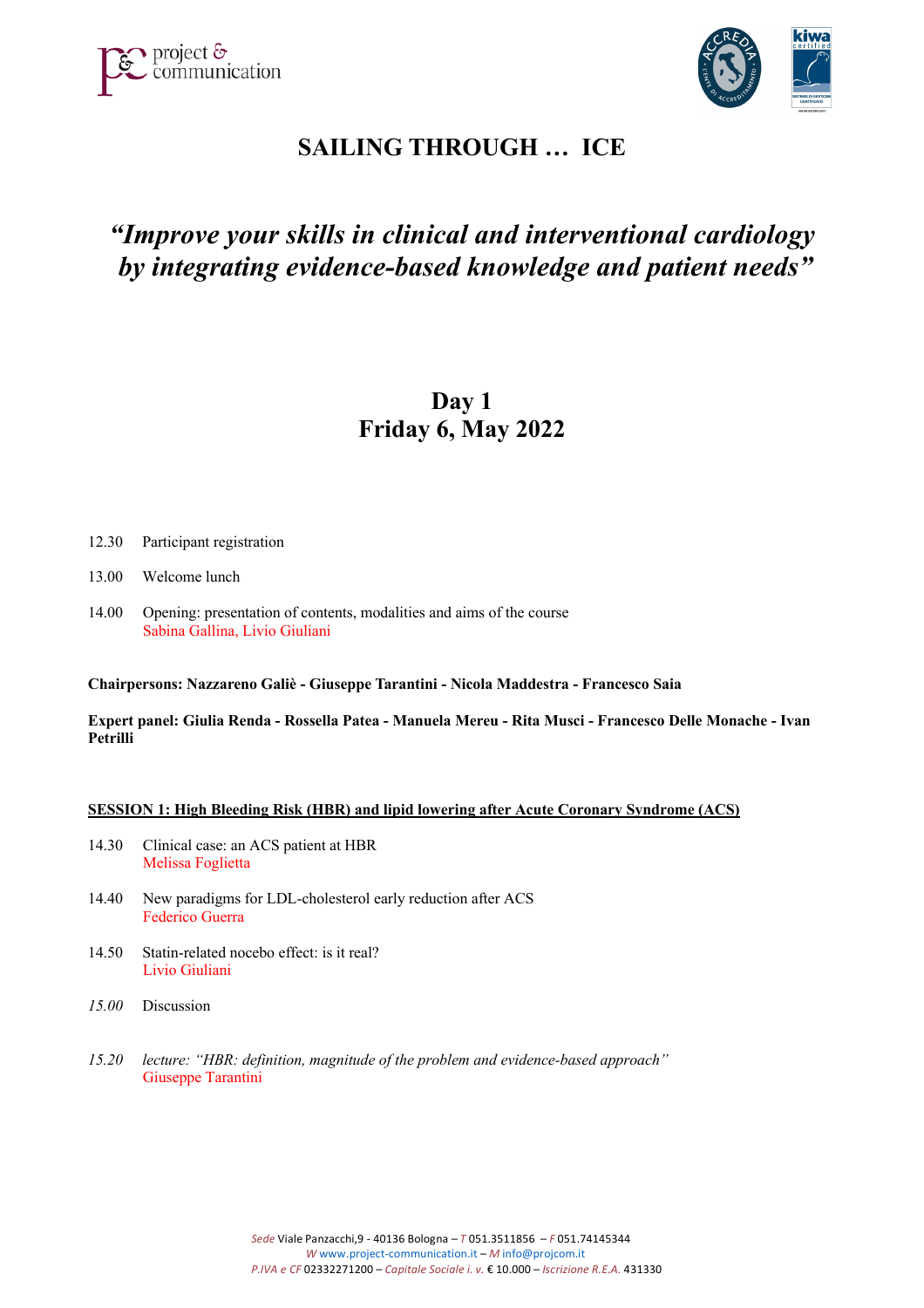



# **SAILING THROUGH … ICE**

# *"Improve your skills in clinical and interventional cardiology by integrating evidence-based knowledge and patient needs"*

# **Day 1 Friday 6, May 2022**

- 12.30 Participant registration
- 13.00 Welcome lunch
- 14.00 Opening: presentation of contents, modalities and aims of the course Sabina Gallina, Livio Giuliani

**Chairpersons: Nazzareno Galiè - Giuseppe Tarantini - Nicola Maddestra - Francesco Saia** 

**Expert panel: Giulia Renda - Rossella Patea - Manuela Mereu - Rita Musci - Francesco Delle Monache - Ivan Petrilli** 

### **SESSION 1: High Bleeding Risk (HBR) and lipid lowering after Acute Coronary Syndrome (ACS)**

- 14.30 Clinical case: an ACS patient at HBR Melissa Foglietta
- 14.40 New paradigms for LDL-cholesterol early reduction after ACS Federico Guerra
- 14.50 Statin-related nocebo effect: is it real? Livio Giuliani
- *15.00* Discussion
- *15.20 lecture: "HBR: definition, magnitude of the problem and evidence-based approach"* Giuseppe Tarantini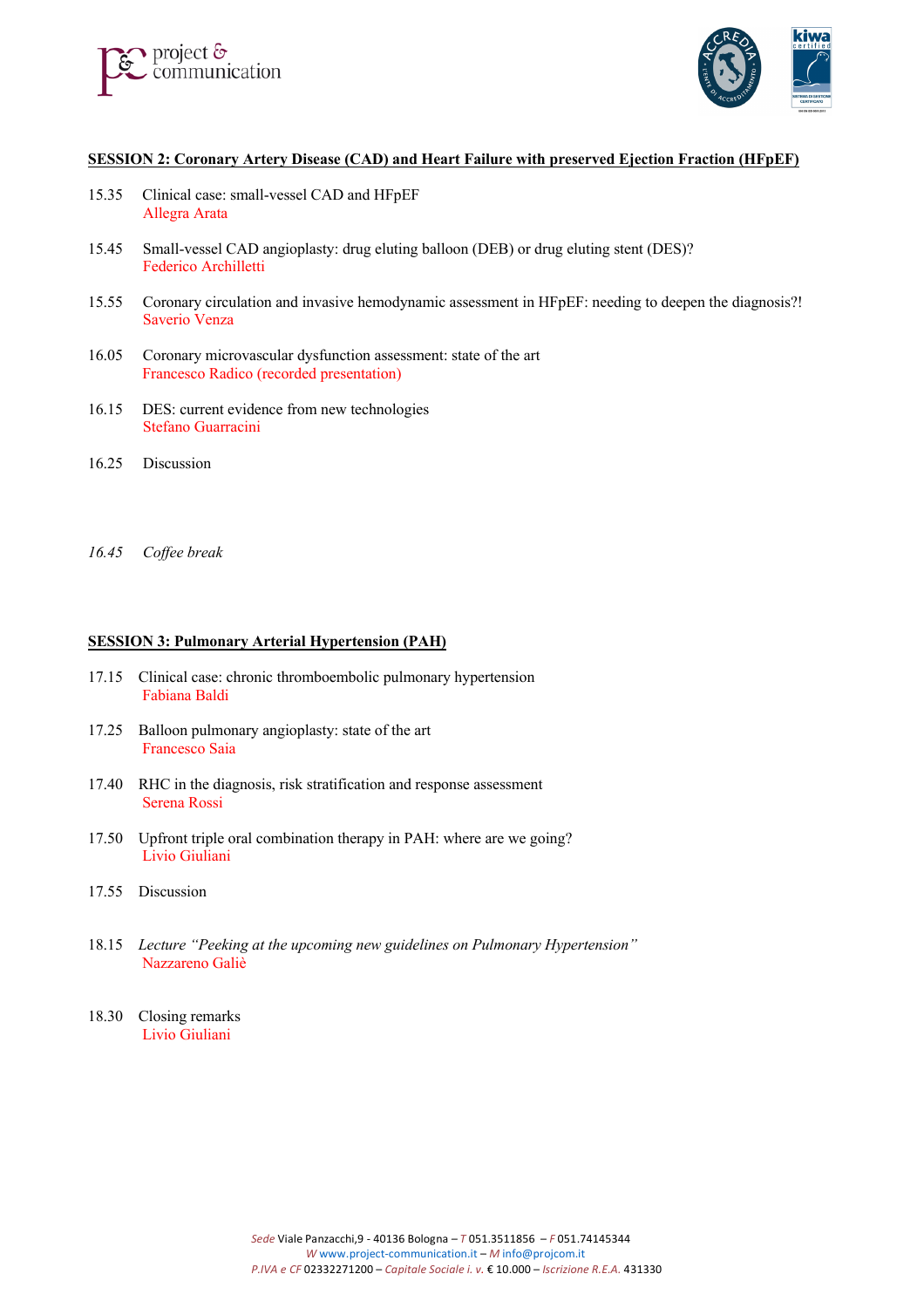



# **SESSION 2: Coronary Artery Disease (CAD) and Heart Failure with preserved Ejection Fraction (HFpEF)**

- 15.35 Clinical case: small-vessel CAD and HFpEF Allegra Arata
- 15.45 Small-vessel CAD angioplasty: drug eluting balloon (DEB) or drug eluting stent (DES)? Federico Archilletti
- 15.55 Coronary circulation and invasive hemodynamic assessment in HFpEF: needing to deepen the diagnosis?! Saverio Venza
- 16.05 Coronary microvascular dysfunction assessment: state of the art Francesco Radico (recorded presentation)
- 16.15 DES: current evidence from new technologies Stefano Guarracini
- 16.25 Discussion
- *16.45 Coffee break*

### **SESSION 3: Pulmonary Arterial Hypertension (PAH)**

- 17.15 Clinical case: chronic thromboembolic pulmonary hypertension Fabiana Baldi
- 17.25 Balloon pulmonary angioplasty: state of the art Francesco Saia
- 17.40 RHC in the diagnosis, risk stratification and response assessment Serena Rossi
- 17.50 Upfront triple oral combination therapy in PAH: where are we going? Livio Giuliani
- 17.55 Discussion
- 18.15 *Lecture "Peeking at the upcoming new guidelines on Pulmonary Hypertension"* Nazzareno Galiè
- 18.30 Closing remarks Livio Giuliani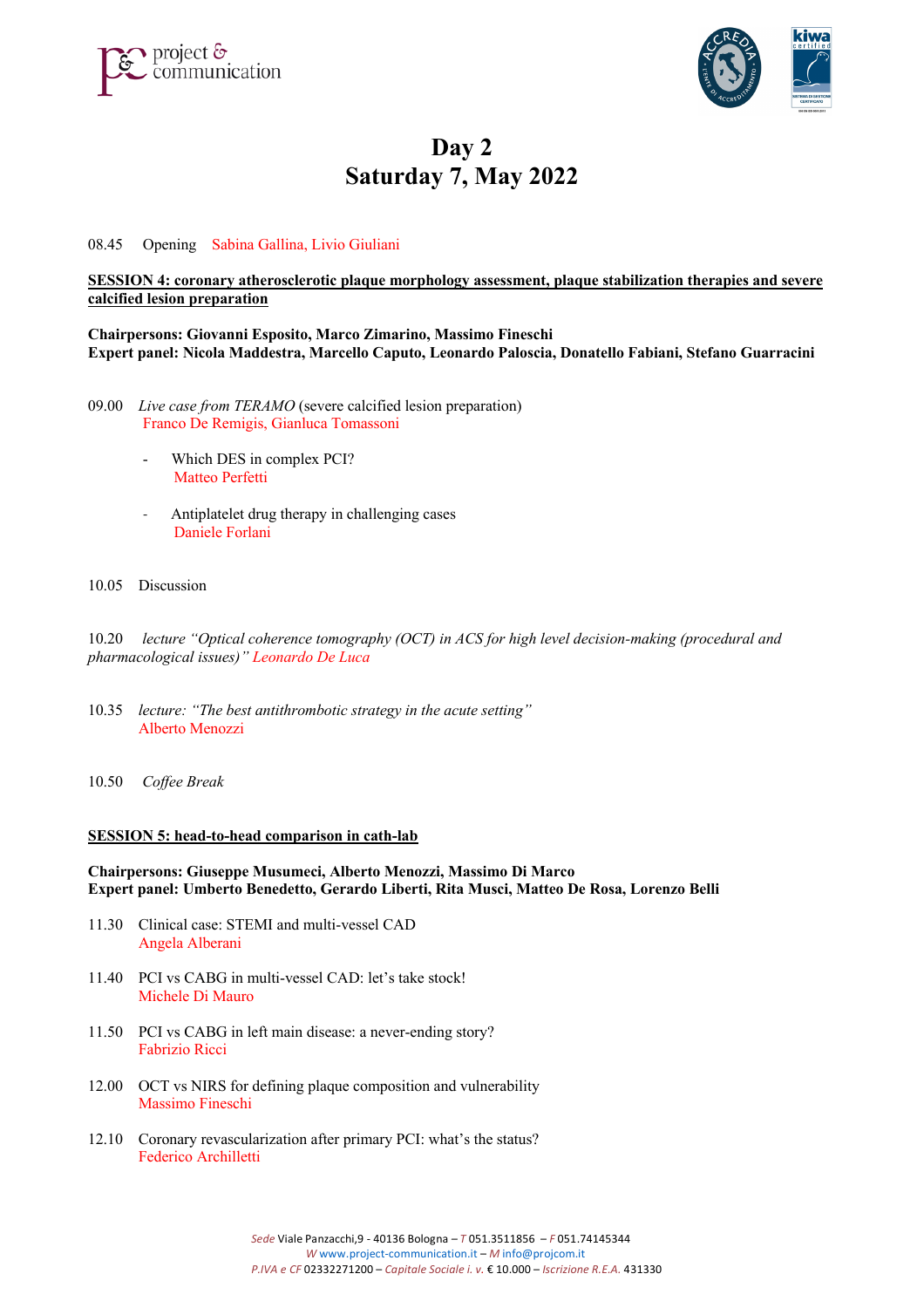



# **Day 2 Saturday 7, May 2022**

08.45 Opening Sabina Gallina, Livio Giuliani

## **SESSION 4: coronary atherosclerotic plaque morphology assessment, plaque stabilization therapies and severe calcified lesion preparation**

**Chairpersons: Giovanni Esposito, Marco Zimarino, Massimo Fineschi Expert panel: Nicola Maddestra, Marcello Caputo, Leonardo Paloscia, Donatello Fabiani, Stefano Guarracini**

- 09.00 *Live case from TERAMO* (severe calcified lesion preparation) Franco De Remigis, Gianluca Tomassoni
	- Which DES in complex PCI? Matteo Perfetti
	- Antiplatelet drug therapy in challenging cases Daniele Forlani
- 10.05 Discussion

10.20 *lecture "Optical coherence tomography (OCT) in ACS for high level decision-making (procedural and pharmacological issues)" Leonardo De Luca*

- 10.35 *lecture: "The best antithrombotic strategy in the acute setting"* Alberto Menozzi
- 10.50 *Coffee Break*

#### **SESSION 5: head-to-head comparison in cath-lab**

### **Chairpersons: Giuseppe Musumeci, Alberto Menozzi, Massimo Di Marco Expert panel: Umberto Benedetto, Gerardo Liberti, Rita Musci, Matteo De Rosa, Lorenzo Belli**

- 11.30 Clinical case: STEMI and multi-vessel CAD Angela Alberani
- 11.40 PCI vs CABG in multi-vessel CAD: let's take stock! Michele Di Mauro
- 11.50 PCI vs CABG in left main disease: a never-ending story? Fabrizio Ricci
- 12.00 OCT vs NIRS for defining plaque composition and vulnerability Massimo Fineschi
- 12.10 Coronary revascularization after primary PCI: what's the status? Federico Archilletti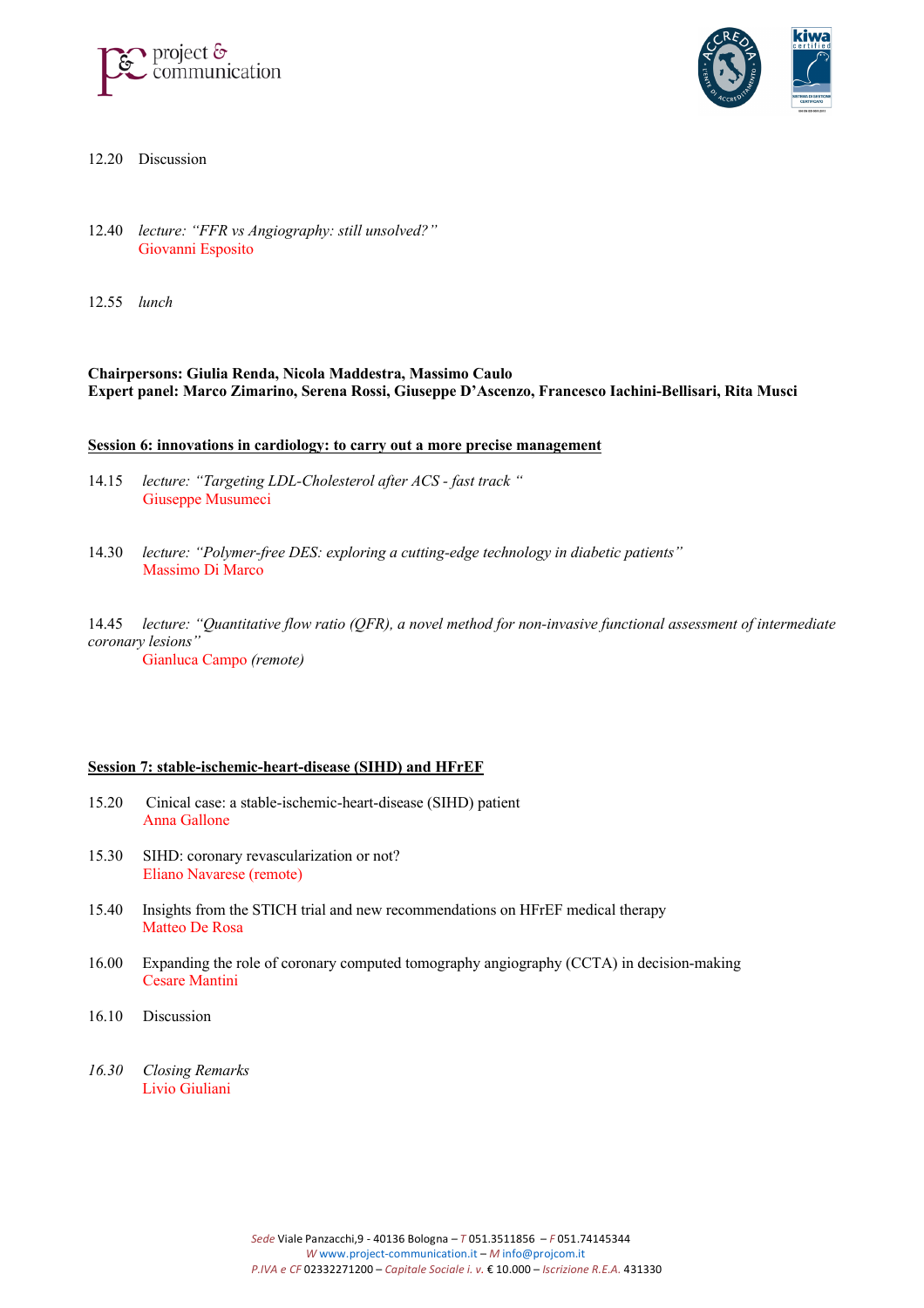



- 12.20 Discussion
- 12.40 *lecture: "FFR vs Angiography: still unsolved?"* Giovanni Esposito
- 12.55 *lunch*

### **Chairpersons: Giulia Renda, Nicola Maddestra, Massimo Caulo Expert panel: Marco Zimarino, Serena Rossi, Giuseppe D'Ascenzo, Francesco Iachini-Bellisari, Rita Musci**

#### **Session 6: innovations in cardiology: to carry out a more precise management**

- 14.15 *lecture: "Targeting LDL-Cholesterol after ACS - fast track "* Giuseppe Musumeci
- 14.30 *lecture: "Polymer-free DES: exploring a cutting-edge technology in diabetic patients"* Massimo Di Marco
- 14.45 *lecture: "Quantitative flow ratio (QFR), a novel method for non-invasive functional assessment of intermediate coronary lesions"* Gianluca Campo *(remote)*

#### **Session 7: stable-ischemic-heart-disease (SIHD) and HFrEF**

- 15.20 Cinical case: a stable-ischemic-heart-disease (SIHD) patient Anna Gallone
- 15.30 SIHD: coronary revascularization or not? Eliano Navarese (remote)
- 15.40 Insights from the STICH trial and new recommendations on HFrEF medical therapy Matteo De Rosa
- 16.00 Expanding the role of coronary computed tomography angiography (CCTA) in decision-making Cesare Mantini
- 16.10 Discussion
- *16.30 Closing Remarks* Livio Giuliani